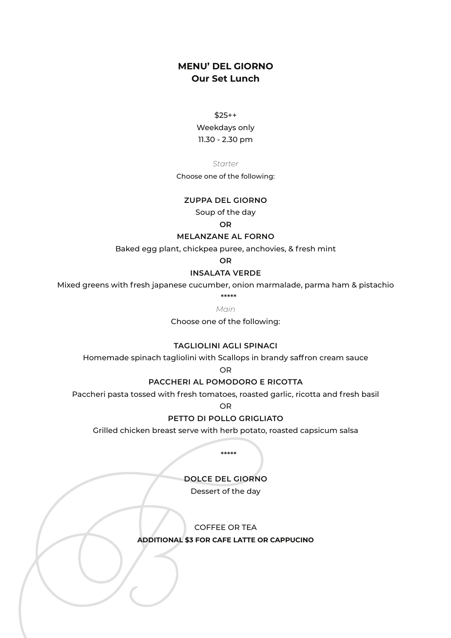# **MENU' DEL GIORNO Our Set Lunch**

 $$25++$ 

Weekdays only 11.30 - 2.30 pm

*Starter* 

Choose one of the following:

#### **ZUPPA DEL GIORNO**

Soup of the day

**OR**

# **MELANZANE AL FORNO**

Baked egg plant, chickpea puree, anchovies, & fresh mint

**OR**

#### **INSALATA VERDE**

Mixed greens with fresh japanese cucumber, onion marmalade, parma ham & pistachio

\*\*\*\*\*

*Main*

Choose one of the following:

## **TAGLIOLINI AGLI SPINACI**

Homemade spinach tagliolini with Scallops in brandy saffron cream sauce

OR

# **PACCHERI AL POMODORO E RICOTTA**

Paccheri pasta tossed with fresh tomatoes, roasted garlic, ricotta and fresh basil

OR

## **PETTO DI POLLO GRIGLIATO**

Grilled chicken breast serve with herb potato, roasted capsicum salsa

\*\*\*\*\*

**DOLCE DEL GIORNO**

Dessert of the day

COFFEE OR TEA

**ADDITIONAL \$3 FOR CAFE LATTE OR CAPPUCINO**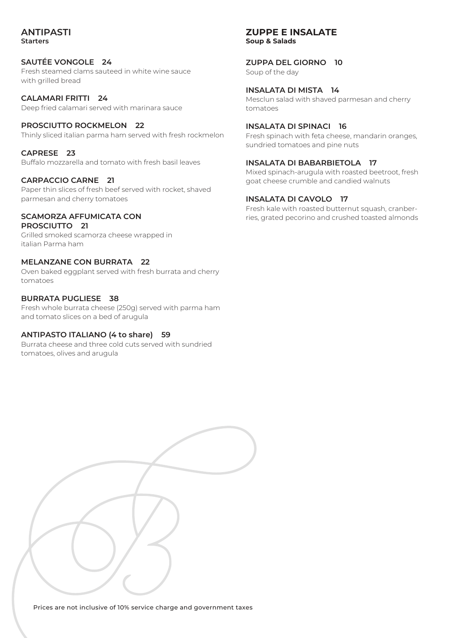### **ANTIPASTI Starters**

# **SAUTÉE VONGOLE 24**

Fresh steamed clams sauteed in white wine sauce with grilled bread

**CALAMARI FRITTI 24** Deep fried calamari served with marinara sauce

**PROSCIUTTO ROCKMELON 22** Thinly sliced italian parma ham served with fresh rockmelon

**CAPRESE 23**

Buffalo mozzarella and tomato with fresh basil leaves

### **CARPACCIO CARNE 21**

Paper thin slices of fresh beef served with rocket, shaved parmesan and cherry tomatoes

#### **SCAMORZA AFFUMICATA CON PROSCIUTTO 21**

Grilled smoked scamorza cheese wrapped in italian Parma ham

## **MELANZANE CON BURRATA 22**

Oven baked eggplant served with fresh burrata and cherry tomatoes

# **BURRATA PUGLIESE 38**

Fresh whole burrata cheese (250g) served with parma ham and tomato slices on a bed of arugula

### **ANTIPASTO ITALIANO (4 to share) 59**

Burrata cheese and three cold cuts served with sundried tomatoes, olives and arugula

# **ZUPPE E INSALATE Soup & Salads**

**ZUPPA DEL GIORNO 10** Soup of the day

**INSALATA DI MISTA 14** Mesclun salad with shaved parmesan and cherry tomatoes

### **INSALATA DI SPINACI 16**

Fresh spinach with feta cheese, mandarin oranges, sundried tomatoes and pine nuts

# **INSALATA DI BABARBIETOLA 17**

Mixed spinach-arugula with roasted beetroot, fresh goat cheese crumble and candied walnuts

# **INSALATA DI CAVOLO 17**

Fresh kale with roasted butternut squash, cranberries, grated pecorino and crushed toasted almonds

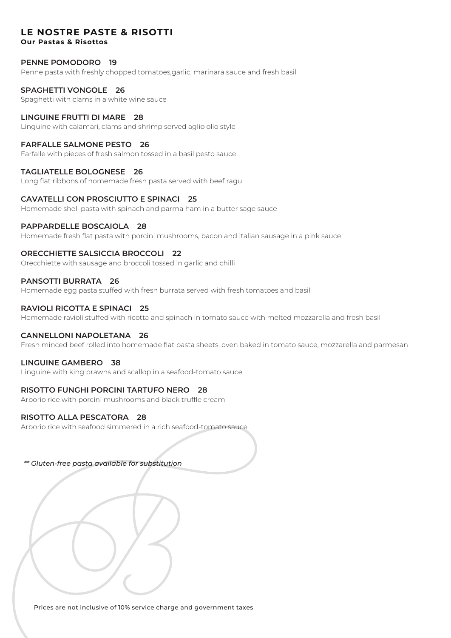# **LE NOSTRE PASTE & RISOTTI**

**Our Pastas & Risottos**

### **PENNE POMODORO 19**

Penne pasta with freshly chopped tomatoes,garlic, marinara sauce and fresh basil

## **SPAGHETTI VONGOLE 26**

Spaghetti with clams in a white wine sauce

### **LINGUINE FRUTTI DI MARE 28**

Linguine with calamari, clams and shrimp served aglio olio style

#### **FARFALLE SALMONE PESTO 26**

Farfalle with pieces of fresh salmon tossed in a basil pesto sauce

#### **TAGLIATELLE BOLOGNESE 26**

Long flat ribbons of homemade fresh pasta served with beef ragu

### **CAVATELLI CON PROSCIUTTO E SPINACI 25**

Homemade shell pasta with spinach and parma ham in a butter sage sauce

### **PAPPARDELLE BOSCAIOLA 28**

Homemade fresh flat pasta with porcini mushrooms, bacon and italian sausage in a pink sauce

### **ORECCHIETTE SALSICCIA BROCCOLI 22**

Orecchiette with sausage and broccoli tossed in garlic and chilli

#### **PANSOTTI BURRATA 26**

Homemade egg pasta stuffed with fresh burrata served with fresh tomatoes and basil

#### **RAVIOLI RICOTTA E SPINACI 25**

Homemade ravioli stuffed with ricotta and spinach in tomato sauce with melted mozzarella and fresh basil

### **CANNELLONI NAPOLETANA 26**

Fresh minced beef rolled into homemade flat pasta sheets, oven baked in tomato sauce, mozzarella and parmesan

### **LINGUINE GAMBERO 38**

Linguine with king prawns and scallop in a seafood-tomato sauce

### **RISOTTO FUNGHI PORCINI TARTUFO NERO 28**

Arborio rice with porcini mushrooms and black truffle cream

### **RISOTTO ALLA PESCATORA 28**

Arborio rice with seafood simmered in a rich seafood-tomato sauce

*\*\* Gluten-free pasta available for substitution*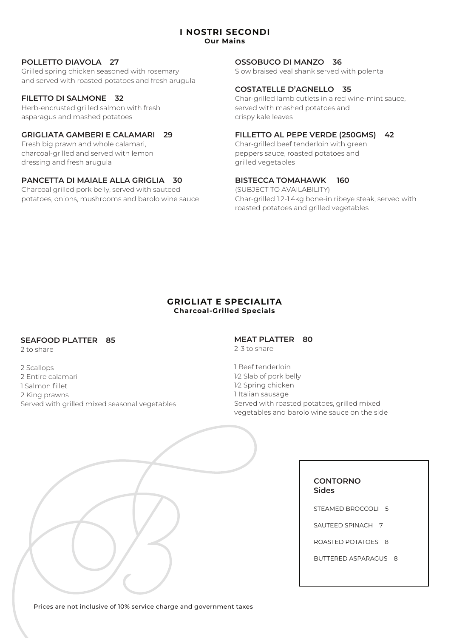#### **I NOSTRI SECONDI Our Mains**

# **POLLETTO DIAVOLA 27**

Grilled spring chicken seasoned with rosemary and served with roasted potatoes and fresh arugula

# **FILETTO DI SALMONE 32**

Herb-encrusted grilled salmon with fresh asparagus and mashed potatoes

## **GRIGLIATA GAMBERI E CALAMARI 29**

Fresh big prawn and whole calamari, charcoal-grilled and served with lemon dressing and fresh arugula

### **PANCETTA DI MAIALE ALLA GRIGLIA 30**

Charcoal grilled pork belly, served with sauteed potatoes, onions, mushrooms and barolo wine sauce

# **OSSOBUCO DI MANZO 36**

Slow braised veal shank served with polenta

#### **COSTATELLE D'AGNELLO 35**

Char-grilled lamb cutlets in a red wine-mint sauce, served with mashed potatoes and crispy kale leaves

# **FILLETTO AL PEPE VERDE (250GMS) 42**

Char-grilled beef tenderloin with green peppers sauce, roasted potatoes and grilled vegetables

# **BISTECCA TOMAHAWK 160**

(SUBJECT TO AVAILABILITY) Char-grilled 1.2-1.4kg bone-in ribeye steak, served with roasted potatoes and grilled vegetables

#### **GRIGLIAT E SPECIALITA Charcoal-Grilled Specials**

### **SEAFOOD PLATTER 85**

2 to share

2 Scallops 2 Entire calamari 1 Salmon fillet 2 King prawns Served with grilled mixed seasonal vegetables

#### **MEAT PLATTER 80** 2-3 to share

1 Beef tenderloin 1⁄2 Slab of pork belly 1⁄2 Spring chicken 1 Italian sausage Served with roasted potatoes, grilled mixed

vegetables and barolo wine sauce on the side

**CONTORNO Sides**

STEAMED BROCCOLI 5

SAUTEED SPINACH 7

ROASTED POTATOES 8

BUTTERED ASPARAGUS 8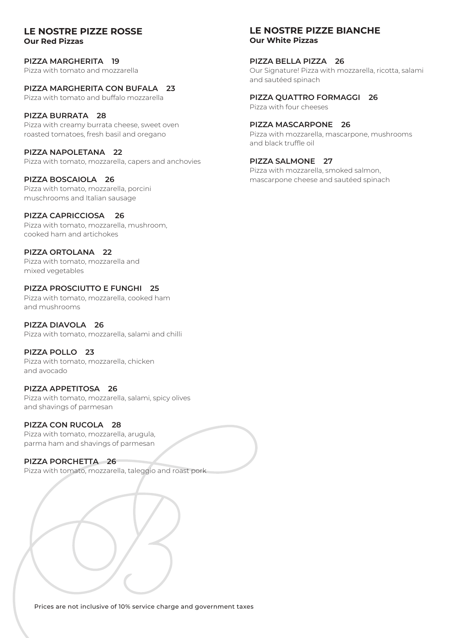### **LE NOSTRE PIZZE ROSSE Our Red Pizzas**

**PIZZA MARGHERITA 19** Pizza with tomato and mozzarella

# **PIZZA MARGHERITA CON BUFALA 23**

Pizza with tomato and buffalo mozzarella

# **PIZZA BURRATA 28**

Pizza with creamy burrata cheese, sweet oven roasted tomatoes, fresh basil and oregano

# **PIZZA NAPOLETANA 22**

Pizza with tomato, mozzarella, capers and anchovies

# **PIZZA BOSCAIOLA 26**

Pizza with tomato, mozzarella, porcini muschrooms and Italian sausage

# **PIZZA CAPRICCIOSA 26**

Pizza with tomato, mozzarella, mushroom, cooked ham and artichokes

# **PIZZA ORTOLANA 22**

Pizza with tomato, mozzarella and mixed vegetables

# **PIZZA PROSCIUTTO E FUNGHI 25**

Pizza with tomato, mozzarella, cooked ham and mushrooms

# **PIZZA DIAVOLA 26**

Pizza with tomato, mozzarella, salami and chilli

# **PIZZA POLLO 23**

Pizza with tomato, mozzarella, chicken and avocado

### **PIZZA APPETITOSA 26**

Pizza with tomato, mozzarella, salami, spicy olives and shavings of parmesan

# **PIZZA CON RUCOLA 28**

Pizza with tomato, mozzarella, arugula, parma ham and shavings of parmesan

# **PIZZA PORCHETTA 26**

Pizza with tomato, mozzarella, taleggio and roast pork

# **LE NOSTRE PIZZE BIANCHE Our White Pizzas**

#### **PIZZA BELLA PIZZA 26**

Our Signature! Pizza with mozzarella, ricotta, salami and sautéed spinach

## **PIZZA QUATTRO FORMAGGI 26**

Pizza with four cheeses

# **PIZZA MASCARPONE 26**

Pizza with mozzarella, mascarpone, mushrooms and black truffle oil

# **PIZZA SALMONE 27**

Pizza with mozzarella, smoked salmon, mascarpone cheese and sautéed spinach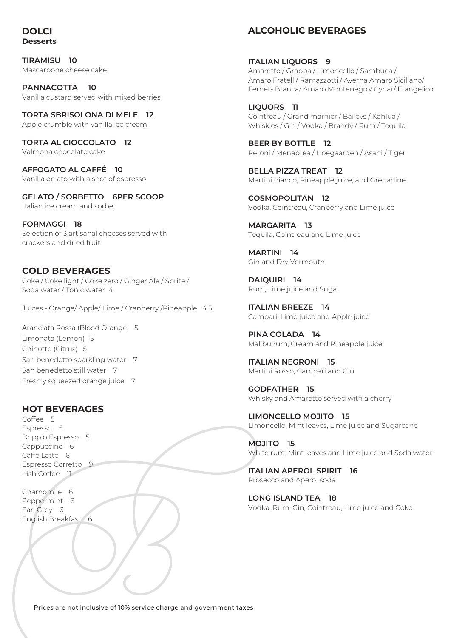# **DOLCI Desserts**

**TIRAMISU 10** Mascarpone cheese cake

**PANNACOTTA 10** Vanilla custard served with mixed berries

**TORTA SBRISOLONA DI MELE 12** Apple crumble with vanilla ice cream

**TORTA AL CIOCCOLATO 12** Valrhona chocolate cake

**AFFOGATO AL CAFFÉ 10** Vanilla gelato with a shot of espresso

**GELATO / SORBETTO 6PER SCOOP** Italian ice cream and sorbet

**FORMAGGI 18** Selection of 3 artisanal cheeses served with crackers and dried fruit

# **COLD BEVERAGES**

Coke / Coke light / Coke zero / Ginger Ale / Sprite / Soda water / Tonic water 4

Juices - Orange/ Apple/ Lime / Cranberry /Pineapple 4.5

Aranciata Rossa (Blood Orange) 5 Limonata (Lemon) 5 Chinotto (Citrus) 5 San benedetto sparkling water 7 San benedetto still water 7 Freshly squeezed orange juice 7

# **HOT BEVERAGES**

Coffee 5 Espresso 5 Doppio Espresso 5 Cappuccino 6 Caffe Latte 6 Espresso Corretto 9 Irish Coffee 11

Chamomile 6 Peppermint 6 Earl Grey 6 English Breakfast 6

# **ALCOHOLIC BEVERAGES**

**ITALIAN LIQUORS 9**  Amaretto / Grappa / Limoncello / Sambuca / Amaro Fratelli/ Ramazzotti / Averna Amaro Siciliano/ Fernet- Branca/ Amaro Montenegro/ Cynar/ Frangelico

**LIQUORS 11** Cointreau / Grand marnier / Baileys / Kahlua / Whiskies / Gin / Vodka / Brandy / Rum / Tequila

**BEER BY BOTTLE 12** Peroni / Menabrea / Hoegaarden / Asahi / Tiger

**BELLA PIZZA TREAT 12** Martini bianco, Pineapple juice, and Grenadine

**COSMOPOLITAN 12** Vodka, Cointreau, Cranberry and Lime juice

**MARGARITA 13** Tequila, Cointreau and Lime juice

**MARTINI 14** Gin and Dry Vermouth

**DAIQUIRI 14** Rum, Lime juice and Sugar

**ITALIAN BREEZE 14** Campari, Lime juice and Apple juice

**PINA COLADA 14** Malibu rum, Cream and Pineapple juice

**ITALIAN NEGRONI 15** Martini Rosso, Campari and Gin

**GODFATHER 15** Whisky and Amaretto served with a cherry

**LIMONCELLO MOJITO 15** Limoncello, Mint leaves, Lime juice and Sugarcane

**MOJITO 15** White rum, Mint leaves and Lime juice and Soda water

**ITALIAN APEROL SPIRIT 16** Prosecco and Aperol soda

**LONG ISLAND TEA 18** Vodka, Rum, Gin, Cointreau, Lime juice and Coke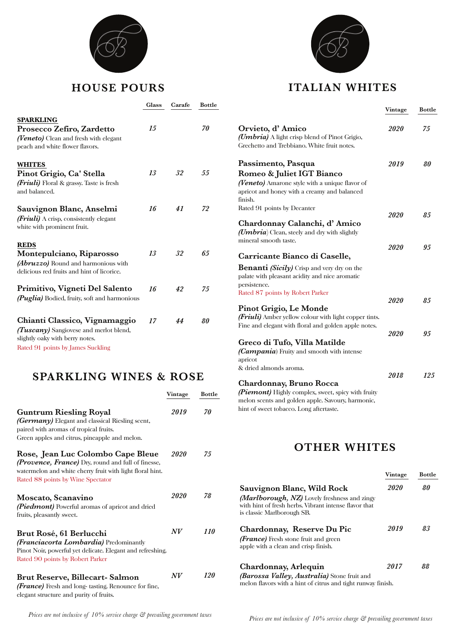

# **HOUSE POURS**

|                                                                                                                                                 | Glass | Carafe | Bottle |
|-------------------------------------------------------------------------------------------------------------------------------------------------|-------|--------|--------|
| <b>SPARKLING</b><br>Prosecco Zefiro, Zardetto<br><i>(Veneto)</i> Clean and fresh with elegant<br>peach and white flower flavors.                | 15    |        | 70     |
| <b>WHITES</b><br>Pinot Grigio, Ca' Stella<br><i>(Friuli)</i> Floral & grassy. Taste is fresh<br>and balanced.                                   | 13    | 32     | .55    |
| Sauvignon Blanc, Anselmi<br><i>(Friuli)</i> A crisp, consistently elegant<br>white with prominent fruit.                                        | 16    | 41     | 72     |
| <b>REDS</b><br>Montepulciano, Riparosso<br>(Abruzzo) Round and harmonious with<br>delicious red fruits and hint of licorice.                    | 13    | 32     | 65     |
| Primitivo, Vigneti Del Salento<br>(Puglia) Bodied, fruity, soft and harmonious                                                                  | 16    | 42     | 75     |
| Chianti Classico, Vignamaggio<br>(Tuscany) Sangiovese and merlot blend,<br>slightly oaky with berry notes.<br>Rated 91 points by James Suckling | 17    | 44     | 80     |

# **SPARKLING WINES & ROSE**

|                                                                                                                                                                                                  | Vintage | <b>Bottle</b> |
|--------------------------------------------------------------------------------------------------------------------------------------------------------------------------------------------------|---------|---------------|
| <b>Guntrum Riesling Royal</b><br><i>(Germany)</i> Elegant and classical Riesling scent,<br>paired with aromas of tropical fruits.<br>Green apples and citrus, pineapple and melon.               | 2019    | 70            |
| Rose, Jean Luc Colombo Cape Bleue<br><i>(Provence, France)</i> Dry, round and full of finesse,<br>watermelon and white cherry fruit with light floral hint.<br>Rated 88 points by Wine Spectator | 2020    | 75            |
| Moscato, Scanavino<br><i>(Piedmont)</i> Powerful aromas of apricot and dried<br>fruits, pleasantly sweet.                                                                                        | 2020    | 78            |
| Brut Rosé, 61 Berlucchi<br><i>(Franciacorta Lombardia)</i> Predominantly<br>Pinot Noir, powerful yet delicate. Elegant and refreshing.<br>Rated 90 points by Robert Parker                       | N V     | 110           |
| <b>Brut Reserve, Billecart-Salmon</b><br><i>(France)</i> Fresh and long-tasting. Renounce for fine,<br>elegant structure and purity of fruits.                                                   | N V     | 120           |



# **ITALIAN WHITES**

|                                                                                                                                                               | Vintage | <b>Bottle</b> |
|---------------------------------------------------------------------------------------------------------------------------------------------------------------|---------|---------------|
| Orvieto, d'Amico<br>(Umbria) A light crisp blend of Pinot Grigio,<br>Grechetto and Trebbiano. White fruit notes.                                              | 2020    | 75            |
| Passimento, Pasqua<br>Romeo & Juliet IGT Bianco<br>(Veneto) Amarone style with a unique flavor of<br>apricot and honey with a creamy and balanced<br>finish.  | 2019    | 80            |
| Rated 91 points by Decanter<br>Chardonnay Calanchi, d'Amico<br>(Umbria) Clean, steely and dry with slightly                                                   | 2020    | 85            |
| mineral smooth taste.<br>Carricante Bianco di Caselle,<br><b>Benanti</b> (Sicily) Crisp and very dry on the<br>palate with pleasant acidity and nice aromatic | 2020    | 95            |
| persistence.<br>Rated 87 points by Robert Parker<br>Pinot Grigio, Le Monde<br>(Friuli) Amber yellow colour with light copper tints.                           | 2020    | 85            |
| Fine and elegant with floral and golden apple notes.<br>Greco di Tufo, Villa Matilde<br><i>(Campania)</i> Fruity and smooth with intense<br>apricot           | 2020    | 95            |
| & dried almonds aroma.<br>Chardonnay, Bruno Rocca<br>(Piemont) Highly complex, sweet, spicy with fruity<br>melon scents and golden apple. Savoury, harmonic,  | 2018    | 125           |

**OTHER WHITES**

hint of sweet tobacco. Long aftertaste.

|                                                                                                                                                                   | Vintage | Bottle |
|-------------------------------------------------------------------------------------------------------------------------------------------------------------------|---------|--------|
| Sauvignon Blanc, Wild Rock<br>(Marlborough, NZ) Lovely freshness and zingy<br>with hint of fresh herbs. Vibrant intense flavor that<br>is classic Marlborough SB. | 2020    | 80     |
| Chardonnay, Reserve Du Pic<br><b><i>(France)</i></b> Fresh stone fruit and green<br>apple with a clean and crisp finish.                                          | 2019    | 83     |
| <b>Chardonnay, Arlequin</b><br>(Barossa Valley, Australia) Stone fruit and                                                                                        | 2017    | 88     |

melon flavors with a hint of citrus and tight runway finish.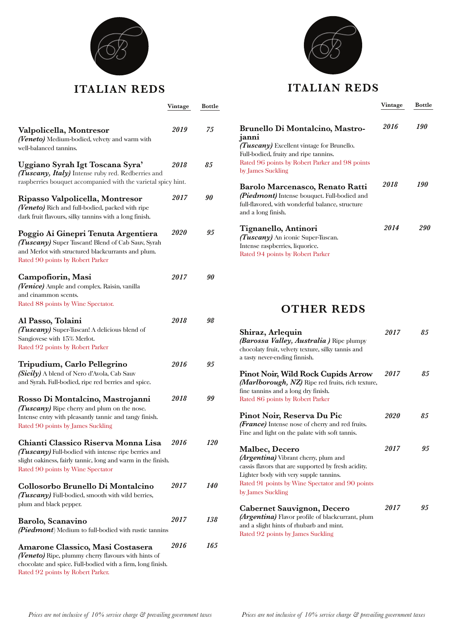

# **ITALIAN REDS**

**Vintage Bottle**

| Valpolicella, Montresor<br>(Veneto) Medium-bodied, velvety and warm with                                                                                                                        | <i>2019</i> | 75         |
|-------------------------------------------------------------------------------------------------------------------------------------------------------------------------------------------------|-------------|------------|
| well-balanced tannins.                                                                                                                                                                          |             |            |
| Uggiano Syrah Igt Toscana Syra'<br>(Tuscany, Italy) Intense ruby red. Redberries and                                                                                                            | <i>2018</i> | 85         |
| raspberries bouquet accompanied with the varietal spicy hint.                                                                                                                                   |             |            |
| Ripasso Valpolicella, Montresor<br>(Veneto) Rich and full-bodied, packed with ripe<br>dark fruit flavours, silky tannins with a long finish.                                                    | <i>2017</i> | 90         |
| Poggio Ai Ginepri Tenuta Argentiera<br>(Tuscany) Super Tuscant! Blend of Cab Sauv, Syrah<br>and Merlot with structured blackcurrants and plum.<br>Rated 90 points by Robert Parker              | <i>2020</i> | 95         |
| Campofiorin, Masi<br>(Venice) Ample and complex. Raisin, vanilla                                                                                                                                | 2017        | 90         |
| and cinammon scents.                                                                                                                                                                            |             |            |
| Rated 88 points by Wine Spectator.                                                                                                                                                              |             |            |
| Al Passo, Tolaini<br>(Tuscany) Super-Tuscan! A delicious blend of<br>Sangiovese with 15% Merlot.                                                                                                | 2018        | 98         |
| Rated 92 points by Robert Parker                                                                                                                                                                |             |            |
| Tripudium, Carlo Pellegrino<br>(Sicily) A blend of Nero d'Avola, Cab Sauv<br>and Syrah. Full-bodied, ripe red berries and spice.                                                                | <i>2016</i> | 95         |
| Rosso Di Montalcino, Mastrojanni<br>(Tuscany) Ripe cherry and plum on the nose.<br>Intense entry with pleasantly tannic and tangy finish.<br>Rated 90 points by James Suckling                  | <i>2018</i> | 99         |
| Chianti Classico Riserva Monna Lisa<br>(Tuscany) Full-bodied with intense ripe berries and<br>slight oakiness, fairly tannic, long and warm in the finish.<br>Rated 90 points by Wine Spectator | 2016        | <i>120</i> |
| Collosorbo Brunello Di Montalcino<br>(Tuscany) Full-bodied, smooth with wild berries,<br>plum and black pepper.                                                                                 | <i>2017</i> | <i>140</i> |
| Barolo, Scanavino<br>(Piedmont) Medium to full-bodied with rustic tannins                                                                                                                       | <i>2017</i> | 138        |
| Amarone Classico, Masi Costasera<br>(Veneto) Ripe, plummy cherry flavours with hints of<br>chocolate and spice. Full-bodied with a firm, long finish.<br>Rated 92 points by Robert Parker.      | <i>2016</i> | 165        |



# **ITALIAN REDS**

|                                                                                                                                                          | Vintage | Bottle     |
|----------------------------------------------------------------------------------------------------------------------------------------------------------|---------|------------|
| <b>Brunello Di Montalcino, Mastro-</b>                                                                                                                   | 2016    | <i>190</i> |
| janni<br><i>(Tuscany)</i> Excellent vintage for Brunello.                                                                                                |         |            |
| Full-bodied, fruity and ripe tannins.                                                                                                                    |         |            |
| Rated 96 points by Robert Parker and 98 points                                                                                                           |         |            |
| by James Suckling                                                                                                                                        |         |            |
| Barolo Marcenasco, Renato Ratti<br>(Piedmont) Intense bouquet. Full-bodied and<br>full-flavored, with wonderful balance, structure<br>and a long finish. | 2018    | 190        |
| Tignanello, Antinori                                                                                                                                     | 2014    | 290        |
| <i>(Tuscany)</i> An iconic Super-Tuscan.                                                                                                                 |         |            |
| Intense raspberries, liquorice.                                                                                                                          |         |            |
| Rated 94 points by Robert Parker                                                                                                                         |         |            |

# **OTHER REDS**

| Shiraz, Arlequin<br><i>(Barossa Valley, Australia)</i> Ripe plumpy<br>chocolaty fruit, velvety texture, silky tannis and<br>a tasty never-ending finnish.                                                                                     | 2017 | 85 |
|-----------------------------------------------------------------------------------------------------------------------------------------------------------------------------------------------------------------------------------------------|------|----|
| <b>Pinot Noir, Wild Rock Cupids Arrow</b><br>(Marlborough, NZ) Ripe red fruits, rich texture,<br>fine tannins and a long dry finish.<br>Rated 86 points by Robert Parker                                                                      | 2017 | 85 |
| Pinot Noir, Reserva Du Pic<br><b><i>(France)</i></b> Intense nose of cherry and red fruits.<br>Fine and light on the palate with soft tannis.                                                                                                 | 2020 | 85 |
| <b>Malbec, Decero</b><br><i>(Argentina)</i> Vibrant cherry, plum and<br>cassis flavors that are supported by fresh acidity.<br>Lighter body with very supple tannins.<br>Rated 91 points by Wine Spectator and 90 points<br>by James Suckling | 2017 | 95 |
| Cabernet Sauvignon, Decero<br>(Argentina) Flavor profile of blackcurrant, plum<br>and a slight hints of rhubarb and mint.<br>Rated 92 points by James Suckling                                                                                | 2017 | 95 |